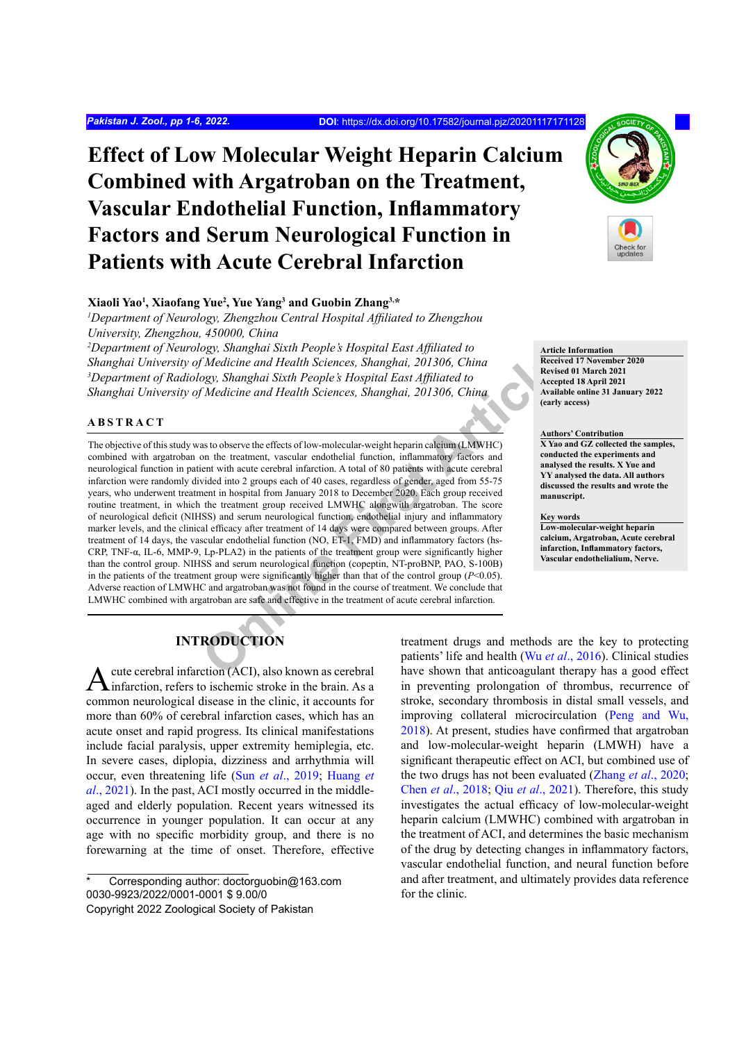# **Effect of Low Molecular Weight Heparin Calcium Combined with Argatroban on the Treatment, Vascular Endothelial Function, Inflammatory Factors and Serum Neurological Function in Patients with Acute Cerebral Infarction**

## **Xiaoli Yao1 , Xiaofang Yue2 , Yue Yang3 and Guobin Zhang3,\***

<sup>1</sup>Department of Neurology, Zhengzhou Central Hospital Affiliated to Zhengzhou *University, Zhengzhou, 450000, China*

*2 Department of Neurology, Shanghai Sixth People's Hospital East Affiliated to Shanghai University of Medicine and Health Sciences, Shanghai, 201306, China 3 Department of Radiology, Shanghai Sixth People's Hospital East Affiliated to Shanghai University of Medicine and Health Sciences, Shanghai, 201306, China*

## **ABSTRACT**

Consigning the particle in the particle in the consigning that the central team and Health Sciences, Shanghai, 201306, China<br>
Ogy, Shanghai Sixth People's Hospital East Affiliated to<br>
Receive Medicine and Health Sciences, The objective of this study was to observe the effects of low-molecular-weight heparin calcium (LMWHC) combined with argatroban on the treatment, vascular endothelial function, inflammatory factors and neurological function in patient with acute cerebral infarction. A total of 80 patients with acute cerebral infarction were randomly divided into 2 groups each of 40 cases, regardless of gender, aged from 55-75 years, who underwent treatment in hospital from January 2018 to December 2020. Each group received routine treatment, in which the treatment group received LMWHC alongwith argatroban. The score of neurological deficit (NIHSS) and serum neurological function, endothelial injury and inflammatory marker levels, and the clinical efficacy after treatment of 14 days were compared between groups. After treatment of 14 days, the vascular endothelial function (NO, ET-1, FMD) and inflammatory factors (hs-CRP, TNF-α, IL-6, MMP-9, Lp-PLA2) in the patients of the treatment group were significantly higher than the control group. NIHSS and serum neurological function (copeptin, NT-proBNP, PAO, S-100B) in the patients of the treatment group were significantly higher than that of the control group  $(P<0.05)$ . Adverse reaction of LMWHC and argatroban was not found in the course of treatment. We conclude that LMWHC combined with argatroban are safe and effective in the treatment of acute cerebral infarction.

# **INTRODUCTION**

A cute cerebral infarction (ACI), also known as cerebral infarction, refers to ischemic stroke in the brain. As a common neurological disease in the clinic, it accounts for more than 60% of cerebral infarction cases, which has an acute onset and rapid progress. Its clinical manifestations include facial paralysis, upper extremity hemiplegia, etc. In severe cases, diplopia, dizziness and arrhythmia will occur, even threatening life (Sun *et al*[., 2019](#page-5-0); [Huang](#page-4-0) *et al*[., 2021](#page-4-0)). In the past, ACI mostly occurred in the middleaged and elderly population. Recent years witnessed its occurrence in younger population. It can occur at any age with no specific morbidity group, and there is no forewarning at the time of onset. Therefore, effective treatment drugs and methods are the key to protecting patients' life and health (Wu *et al*., 2016). Clinical studies have shown that anticoagulant therapy has a good effect in preventing prolongation of thrombus, recurrence of stroke, secondary thrombosis in distal small vessels, and improving collateral microcirculation [\(Peng and Wu,](#page-4-1) [2018](#page-4-1)). At present, studies have confirmed that argatroban and low-molecular-weight heparin (LMWH) have a significant therapeutic effect on ACI, but combined use of the two drugs has not been evaluated (Zhang *et al*[., 2020;](#page-5-2) Chen *et al*[., 2018](#page-4-2); Qiu *et al*[., 2021\)](#page-4-3). Therefore, this study investigates the actual efficacy of low-molecular-weight heparin calcium (LMWHC) combined with argatroban in the treatment of ACI, and determines the basic mechanism of the drug by detecting changes in inflammatory factors, vascular endothelial function, and neural function before and after treatment, and ultimately provides data reference for the clinic.



**Article Information Received 17 November 2020 Revised 01 March 2021 Accepted 18 April 2021 Available online 31 January 2022 (early access)**

**Authors' Contribution X Yao and GZ collected the samples, conducted the experiments and analysed the results. X Yue and YY analysed the data. All authors discussed the results and wrote the manuscript.**

**Key words Low-molecular-weight heparin calcium, Argatroban, Acute cerebral** 

**infarction, Inflammatory factors, Vascular endothelialium, Nerve.**

Corresponding author: doctorguobin@163.com 0030-9923/2022/0001-0001 \$ 9.00/0 Copyright 2022 Zoological Society of Pakistan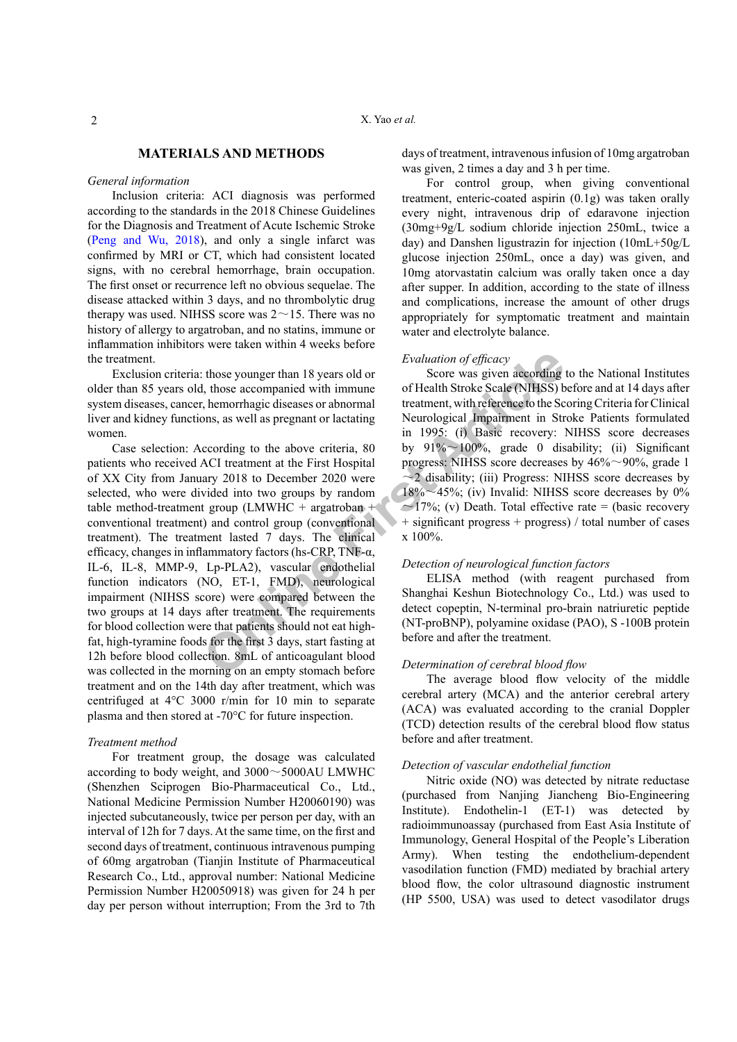## **MATERIALS AND METHODS**

## *General information*

Inclusion criteria: ACI diagnosis was performed according to the standards in the 2018 Chinese Guidelines for the Diagnosis and Treatment of Acute Ischemic Stroke [\(Peng and Wu, 2018\)](#page-4-1), and only a single infarct was confirmed by MRI or CT, which had consistent located signs, with no cerebral hemorrhage, brain occupation. The first onset or recurrence left no obvious sequelae. The disease attacked within 3 days, and no thrombolytic drug therapy was used. NIHSS score was  $2 \sim 15$ . There was no history of allergy to argatroban, and no statins, immune or inflammation inhibitors were taken within 4 weeks before the treatment.

Exclusion criteria: those younger than 18 years old or older than 85 years old, those accompanied with immune system diseases, cancer, hemorrhagic diseases or abnormal liver and kidney functions, as well as pregnant or lactating women.

Evaluation of efficacy<br>
1. those accompanied with immune<br>
1. those accompanied with immune<br>
1. the accompanied with immune<br>
1. the accompanied with immune<br>
1. the accompanied with reference of the Schele (NIHSS) b<br>
1. the Case selection: According to the above criteria, 80 patients who received ACI treatment at the First Hospital of XX City from January 2018 to December 2020 were selected, who were divided into two groups by random table method-treatment group (LMWHC + argatroban + conventional treatment) and control group (conventional treatment). The treatment lasted 7 days. The clinical efficacy, changes in inflammatory factors (hs-CRP, TNF-α, IL-6, IL-8, MMP-9, Lp-PLA2), vascular endothelial function indicators (NO, ET-1, FMD), neurological impairment (NIHSS score) were compared between the two groups at 14 days after treatment. The requirements for blood collection were that patients should not eat highfat, high-tyramine foods for the first 3 days, start fasting at 12h before blood collection. 8mL of anticoagulant blood was collected in the morning on an empty stomach before treatment and on the 14th day after treatment, which was centrifuged at 4°C 3000 r/min for 10 min to separate plasma and then stored at -70°C for future inspection.

#### *Treatment method*

For treatment group, the dosage was calculated according to body weight, and 3000~5000AU LMWHC (Shenzhen Sciprogen Bio-Pharmaceutical Co., Ltd., National Medicine Permission Number H20060190) was injected subcutaneously, twice per person per day, with an interval of 12h for 7 days. At the same time, on the first and second days of treatment, continuous intravenous pumping of 60mg argatroban (Tianjin Institute of Pharmaceutical Research Co., Ltd., approval number: National Medicine Permission Number H20050918) was given for 24 h per day per person without interruption; From the 3rd to 7th days of treatment, intravenous infusion of 10mg argatroban was given, 2 times a day and 3 h per time.

For control group, when giving conventional treatment, enteric-coated aspirin (0.1g) was taken orally every night, intravenous drip of edaravone injection (30mg+9g/L sodium chloride injection 250mL, twice a day) and Danshen ligustrazin for injection (10mL+50g/L glucose injection 250mL, once a day) was given, and 10mg atorvastatin calcium was orally taken once a day after supper. In addition, according to the state of illness and complications, increase the amount of other drugs appropriately for symptomatic treatment and maintain water and electrolyte balance.

## *Evaluation of efficacy*

Score was given according to the National Institutes of Health Stroke Scale (NIHSS) before and at 14 days after treatment, with reference to the Scoring Criteria for Clinical Neurological Impairment in Stroke Patients formulated in 1995: (i) Basic recovery: NIHSS score decreases by  $91\% \sim 100\%$ , grade 0 disability; (ii) Significant progress: NIHSS score decreases by  $46\% \sim 90\%$ , grade 1  $\sim$ 2 disability; (iii) Progress: NIHSS score decreases by  $18\% \sim 45\%$ ; (iv) Invalid: NIHSS score decreases by 0%  $\approx$ 17%; (v) Death. Total effective rate = (basic recovery + significant progress + progress) / total number of cases  $x 100\%$ .

## *Detection of neurological function factors*

ELISA method (with reagent purchased from Shanghai Keshun Biotechnology Co., Ltd.) was used to detect copeptin, N-terminal pro-brain natriuretic peptide (NT-proBNP), polyamine oxidase (PAO), S -100B protein before and after the treatment.

#### *Determination of cerebral blood flow*

The average blood flow velocity of the middle cerebral artery (MCA) and the anterior cerebral artery (ACA) was evaluated according to the cranial Doppler (TCD) detection results of the cerebral blood flow status before and after treatment.

## *Detection of vascular endothelial function*

Nitric oxide (NO) was detected by nitrate reductase (purchased from Nanjing Jiancheng Bio-Engineering Institute). Endothelin-1 (ET-1) was detected by radioimmunoassay (purchased from East Asia Institute of Immunology, General Hospital of the People's Liberation Army). When testing the endothelium-dependent vasodilation function (FMD) mediated by brachial artery blood flow, the color ultrasound diagnostic instrument (HP 5500, USA) was used to detect vasodilator drugs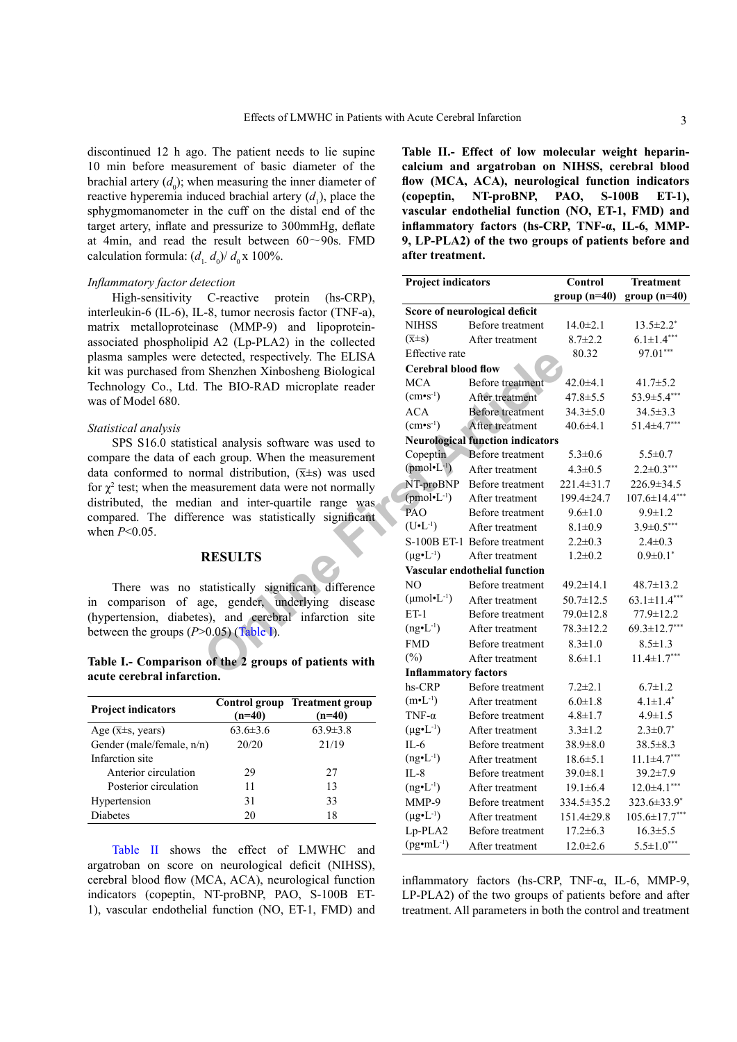discontinued 12 h ago. The patient needs to lie supine 10 min before measurement of basic diameter of the brachial artery  $(d_0)$ ; when measuring the inner diameter of reactive hyperemia induced brachial artery  $(d_1)$ , place the sphygmomanometer in the cuff on the distal end of the target artery, inflate and pressurize to 300mmHg, deflate at 4min, and read the result between  $60 \sim 90$ s. FMD calculation formula:  $(d_1, d_0)/d_0 \ge 100\%$ .

#### *Inflammatory factor detection*

High-sensitivity C-reactive protein (hs-CRP), interleukin-6 (IL-6), IL-8, tumor necrosis factor (TNF-a), matrix metalloproteinase (MMP-9) and lipoproteinassociated phospholipid A2 (Lp-PLA2) in the collected plasma samples were detected, respectively. The ELISA kit was purchased from Shenzhen Xinbosheng Biological Technology Co., Ltd. The BIO-RAD microplate reader was of Model 680.

### *Statistical analysis*

SPS S16.0 statistical analysis software was used to compare the data of each group. When the measurement data conformed to normal distribution,  $(\bar{x} \pm s)$  was used for  $\chi^2$  test; when the measurement data were not normally distributed, the median and inter-quartile range was compared. The difference was statistically significant when *P*<0.05.

## **RESULTS**

There was no statistically significant difference in comparison of age, gender, underlying disease (hypertension, diabetes), and cerebral infarction site between the groups  $(P>0.05)$  (Table I).

## **Table I.- Comparison of the 2 groups of patients with acute cerebral infarction.**

| <b>Project indicators</b>                 | $(n=40)$       | Control group Treatment group<br>$(n=40)$ |  |
|-------------------------------------------|----------------|-------------------------------------------|--|
| Age $(\overline{x} \pm s, \text{ years})$ | $63.6 \pm 3.6$ | $63.9 \pm 3.8$                            |  |
| Gender (male/female, n/n)                 | 20/20          | 21/19                                     |  |
| Infarction site                           |                |                                           |  |
| Anterior circulation                      | 29             | 27                                        |  |
| Posterior circulation                     | 11             | 13                                        |  |
| Hypertension                              | 31             | 33                                        |  |
| <b>Diabetes</b>                           | 20             | 18                                        |  |

[Table II](#page-2-0) shows the effect of LMWHC and argatroban on score on neurological deficit (NIHSS), cerebral blood flow (MCA, ACA), neurological function indicators (copeptin, NT-proBNP, PAO, S-100B ET-1), vascular endothelial function (NO, ET-1, FMD) and <span id="page-2-0"></span>**Table II.- Effect of low molecular weight heparincalcium and argatroban on NIHSS, cerebral blood flow (MCA, ACA), neurological function indicators (copeptin, NT-proBNP, PAO, S-100B ET-1), vascular endothelial function (NO, ET-1, FMD) and inflammatory factors (hs-CRP, TNF-α, IL-6, MMP-9, LP-PLA2) of the two groups of patients before and after treatment.**

| tection                                                                                                                                                          |                |                                      |                                         | <b>Project indicators</b>            |                          | <b>Treatment</b>    |  |  |  |
|------------------------------------------------------------------------------------------------------------------------------------------------------------------|----------------|--------------------------------------|-----------------------------------------|--------------------------------------|--------------------------|---------------------|--|--|--|
| C-reactive<br>protein<br>$(hs-CRP)$ ,                                                                                                                            |                |                                      |                                         |                                      | Control<br>$group(n=40)$ | $group(n=40)$       |  |  |  |
|                                                                                                                                                                  |                | -8, tumor necrosis factor (TNF-a),   | Score of neurological deficit           |                                      |                          |                     |  |  |  |
|                                                                                                                                                                  |                | ase (MMP-9) and lipoprotein-         | <b>NIHSS</b>                            | Before treatment                     | $14.0 \pm 2.1$           | $13.5 \pm 2.2^*$    |  |  |  |
| d A2 (Lp-PLA2) in the collected                                                                                                                                  |                |                                      | $(\overline{x} \pm s)$                  | After treatment                      | $8.7 \pm 2.2$            | $6.1 \pm 1.4***$    |  |  |  |
| detected, respectively. The ELISA                                                                                                                                |                | Effective rate                       |                                         | 80.32                                | 97.01***                 |                     |  |  |  |
|                                                                                                                                                                  |                |                                      |                                         | <b>Cerebral blood flow</b>           |                          |                     |  |  |  |
| 1 Shenzhen Xinbosheng Biological<br>The BIO-RAD microplate reader                                                                                                |                | <b>MCA</b>                           | Before treatment                        | $42.0 + 4.1$                         | $41.7 \pm 5.2$           |                     |  |  |  |
|                                                                                                                                                                  |                | $(cm•s-1)$                           | After treatment                         | $47.8 \pm 5.5$                       | 53.9±5.4***              |                     |  |  |  |
|                                                                                                                                                                  |                |                                      | <b>ACA</b>                              | <b>Before</b> treatment              | $34.3 \pm 5.0$           | $34.5 \pm 3.3$      |  |  |  |
|                                                                                                                                                                  |                |                                      | $(cm·s-1)$                              | After treatment                      | $40.6 \pm 4.1$           | $51.4 \pm 4.7***$   |  |  |  |
| ical analysis software was used to<br>ach group. When the measurement<br>rmal distribution, $(\overline{x} \pm s)$ was used<br>easurement data were not normally |                |                                      | <b>Neurological function indicators</b> |                                      |                          |                     |  |  |  |
|                                                                                                                                                                  |                |                                      | Copeptin                                | Before treatment                     | $5.3 \pm 0.6$            | $5.5 \pm 0.7$       |  |  |  |
|                                                                                                                                                                  |                |                                      | $(pmol-1)$                              | After treatment                      | $4.3 \pm 0.5$            | $2.2 \pm 0.3***$    |  |  |  |
|                                                                                                                                                                  |                |                                      | NT-proBNP                               | Before treatment                     | $221.4 \pm 31.7$         | 226.9 ± 34.5        |  |  |  |
|                                                                                                                                                                  |                |                                      | $(pmol-1)$                              | After treatment                      | 199.4±24.7               | $107.6 \pm 14.4***$ |  |  |  |
| an and inter-quartile range was<br>ence was statistically significant                                                                                            |                | PAO                                  | Before treatment                        | $9.6 \pm 1.0$                        | $9.9 \pm 1.2$            |                     |  |  |  |
|                                                                                                                                                                  |                | $(U•L-1)$                            | After treatment                         | $8.1 \pm 0.9$                        | $3.9 \pm 0.5***$         |                     |  |  |  |
|                                                                                                                                                                  |                |                                      |                                         | S-100B ET-1 Before treatment         | $2.2 \pm 0.3$            | $2.4 \pm 0.3$       |  |  |  |
| <b>RESULTS</b>                                                                                                                                                   |                | $(\mu g \cdot L^{-1})$               | After treatment                         | $1.2 \pm 0.2$                        | $0.9 \pm 0.1$ *          |                     |  |  |  |
|                                                                                                                                                                  |                |                                      |                                         | <b>Vascular endothelial function</b> |                          |                     |  |  |  |
| statistically significant difference<br>ge, gender, underlying disease<br>es), and cerebral infarction site<br>$(0.05)$ (Table I).                               |                |                                      | NO.                                     | Before treatment                     | $49.2 \pm 14.1$          | $48.7 \pm 13.2$     |  |  |  |
|                                                                                                                                                                  |                |                                      | $(\mu mol \cdot L^{-1})$                | After treatment                      | $50.7 \pm 12.5$          | $63.1 \pm 11.4***$  |  |  |  |
|                                                                                                                                                                  |                |                                      | $ET-1$                                  | Before treatment                     | 79.0±12.8                | 77.9 ± 12.2         |  |  |  |
|                                                                                                                                                                  |                |                                      | $(ng\bullet L^{-1})$                    | After treatment                      | $78.3 \pm 12.2$          | $69.3 \pm 12.7***$  |  |  |  |
|                                                                                                                                                                  |                |                                      | <b>FMD</b>                              | Before treatment                     | $8.3 \pm 1.0$            | $8.5 \pm 1.3$       |  |  |  |
|                                                                                                                                                                  |                | of the 2 groups of patients with     | $(\%)$                                  | After treatment                      | $8.6 \pm 1.1$            | $11.4 \pm 1.7***$   |  |  |  |
| ion.                                                                                                                                                             |                |                                      | <b>Inflammatory factors</b>             |                                      |                          |                     |  |  |  |
|                                                                                                                                                                  |                |                                      | hs-CRP                                  | Before treatment                     | $7.2 \pm 2.1$            | $6.7 \pm 1.2$       |  |  |  |
|                                                                                                                                                                  |                | <b>Control group Treatment group</b> | $(m•L-1)$                               | After treatment                      | $6.0 \pm 1.8$            | $4.1 \pm 1.4^*$     |  |  |  |
|                                                                                                                                                                  | $(n=40)$       | $(n=40)$                             | TNF- $\alpha$                           | Before treatment                     | $4.8 \pm 1.7$            | $4.9 \pm 1.5$       |  |  |  |
|                                                                                                                                                                  | $63.6 \pm 3.6$ | $63.9 \pm 3.8$                       | $(\mu g \cdot L^{-1})$                  | After treatment                      | $3.3 \pm 1.2$            | $2.3 \pm 0.7^*$     |  |  |  |
| 1)                                                                                                                                                               | 20/20          | 21/19                                | $IL-6$                                  | Before treatment                     | $38.9 \pm 8.0$           | $38.5 \pm 8.3$      |  |  |  |
|                                                                                                                                                                  |                |                                      | $(ng\bullet L^{-1})$                    | After treatment                      | $18.6 \pm 5.1$           | $11.1 \pm 4.7***$   |  |  |  |
|                                                                                                                                                                  | 29             | 27                                   | $IL-8$                                  | Before treatment                     | $39.0 \pm 8.1$           | 39.2±7.9            |  |  |  |
|                                                                                                                                                                  | 11             | 13                                   | $(ng\bullet L^{-1})$                    | After treatment                      | $19.1 \pm 6.4$           | $12.0 \pm 4.1***$   |  |  |  |
|                                                                                                                                                                  | 31             | 33                                   | MMP-9                                   | Before treatment                     | 334.5 ± 35.2             | 323.6±33.9*         |  |  |  |
|                                                                                                                                                                  | 20             | 18                                   | $(\mu g \cdot L^{-1})$                  | After treatment                      | 151.4±29.8               | $105.6 \pm 17.7***$ |  |  |  |
|                                                                                                                                                                  |                |                                      | Lp-PLA2                                 | Before treatment                     | $17.2 \pm 6.3$           | $16.3 \pm 5.5$      |  |  |  |
|                                                                                                                                                                  |                | the effect of LMWHC and              | $(pg\cdot mL^{-1})$                     | After treatment                      | $12.0 \pm 2.6$           | $5.5 \pm 1.0***$    |  |  |  |

inflammatory factors (hs-CRP, TNF-α, IL-6, MMP-9, LP-PLA2) of the two groups of patients before and after treatment. All parameters in both the control and treatment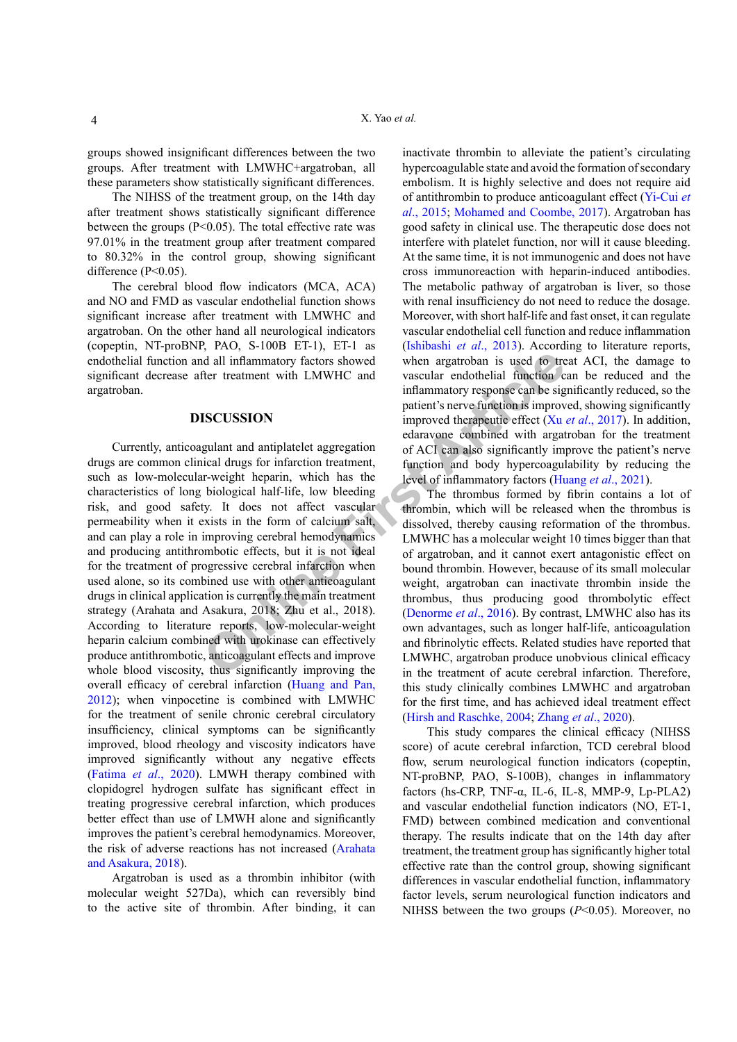groups showed insignificant differences between the two groups. After treatment with LMWHC+argatroban, all these parameters show statistically significant differences.

The NIHSS of the treatment group, on the 14th day after treatment shows statistically significant difference between the groups ( $P<0.05$ ). The total effective rate was 97.01% in the treatment group after treatment compared to 80.32% in the control group, showing significant difference (P<0.05).

The cerebral blood flow indicators (MCA, ACA) and NO and FMD as vascular endothelial function shows significant increase after treatment with LMWHC and argatroban. On the other hand all neurological indicators (copeptin, NT-proBNP, PAO, S-100B ET-1), ET-1 as endothelial function and all inflammatory factors showed significant decrease after treatment with LMWHC and argatroban.

## **DISCUSSION**

deall inflammatory factors showed<br>
then argatroban is used to tre<br>
frer treatment with LMWHC and<br>
inflammatory response can be signatient's never function is improved the<br>
inflammatory response can be signated to the condu Currently, anticoagulant and antiplatelet aggregation drugs are common clinical drugs for infarction treatment, such as low-molecular-weight heparin, which has the characteristics of long biological half-life, low bleeding risk, and good safety. It does not affect vascular permeability when it exists in the form of calcium salt, and can play a role in improving cerebral hemodynamics and producing antithrombotic effects, but it is not ideal for the treatment of progressive cerebral infarction when used alone, so its combined use with other anticoagulant drugs in clinical application is currently the main treatment strategy (Arahata and Asakura, 2018; Zhu et al., 2018). According to literature reports, low-molecular-weight heparin calcium combined with urokinase can effectively produce antithrombotic, anticoagulant effects and improve whole blood viscosity, thus significantly improving the overall efficacy of cerebral infarction ([Huang and Pan,](#page-4-4) [2012\)](#page-4-4); when vinpocetine is combined with LMWHC for the treatment of senile chronic cerebral circulatory insufficiency, clinical symptoms can be significantly improved, blood rheology and viscosity indicators have improved significantly without any negative effects (Fatima *et al*[., 2020\)](#page-4-5). LMWH therapy combined with clopidogrel hydrogen sulfate has significant effect in treating progressive cerebral infarction, which produces better effect than use of LMWH alone and significantly improves the patient's cerebral hemodynamics. Moreover, the risk of adverse reactions has not increased ([Arahata](#page-4-6) [and Asakura, 2018](#page-4-6)).

Argatroban is used as a thrombin inhibitor (with molecular weight 527Da), which can reversibly bind to the active site of thrombin. After binding, it can

inactivate thrombin to alleviate the patient's circulating hypercoagulable state and avoid the formation of secondary embolism. It is highly selective and does not require aid of antithrombin to produce anticoagulant effect ([Yi-Cui](#page-5-3) *et al*[., 2015](#page-5-3); [Mohamed and Coombe, 2017\)](#page-4-7). Argatroban has good safety in clinical use. The therapeutic dose does not interfere with platelet function, nor will it cause bleeding. At the same time, it is not immunogenic and does not have cross immunoreaction with heparin-induced antibodies. The metabolic pathway of argatroban is liver, so those with renal insufficiency do not need to reduce the dosage. Moreover, with short half-life and fast onset, it can regulate vascular endothelial cell function and reduce inflammation ([Ishibashi](#page-4-8) *et al*., 2013). According to literature reports, when argatroban is used to treat ACI, the damage to vascular endothelial function can be reduced and the inflammatory response can be significantly reduced, so the patient's nerve function is improved, showing significantly improved therapeutic effect (Xu *et al*[., 2017](#page-5-4)). In addition, edaravone combined with argatroban for the treatment of ACI can also significantly improve the patient's nerve function and body hypercoagulability by reducing the level of inflammatory factors ([Huang](#page-4-0) *et al*., 2021).

The thrombus formed by fibrin contains a lot of thrombin, which will be released when the thrombus is dissolved, thereby causing reformation of the thrombus. LMWHC has a molecular weight 10 times bigger than that of argatroban, and it cannot exert antagonistic effect on bound thrombin. However, because of its small molecular weight, argatroban can inactivate thrombin inside the thrombus, thus producing good thrombolytic effect (Denorme *et al*., 2016). By contrast, LMWHC also has its own advantages, such as longer half-life, anticoagulation and fibrinolytic effects. Related studies have reported that LMWHC, argatroban produce unobvious clinical efficacy in the treatment of acute cerebral infarction. Therefore, this study clinically combines LMWHC and argatroban for the first time, and has achieved ideal treatment effect [\(Hirsh and Raschke, 2004](#page-4-10); [Zhang](#page-5-2) *et al*., 2020).

This study compares the clinical efficacy (NIHSS score) of acute cerebral infarction, TCD cerebral blood flow, serum neurological function indicators (copeptin, NT-proBNP, PAO, S-100B), changes in inflammatory factors (hs-CRP, TNF- $\alpha$ , IL-6, IL-8, MMP-9, Lp-PLA2) and vascular endothelial function indicators (NO, ET-1, FMD) between combined medication and conventional therapy. The results indicate that on the 14th day after treatment, the treatment group has significantly higher total effective rate than the control group, showing significant differences in vascular endothelial function, inflammatory factor levels, serum neurological function indicators and NIHSS between the two groups (*P*<0.05). Moreover, no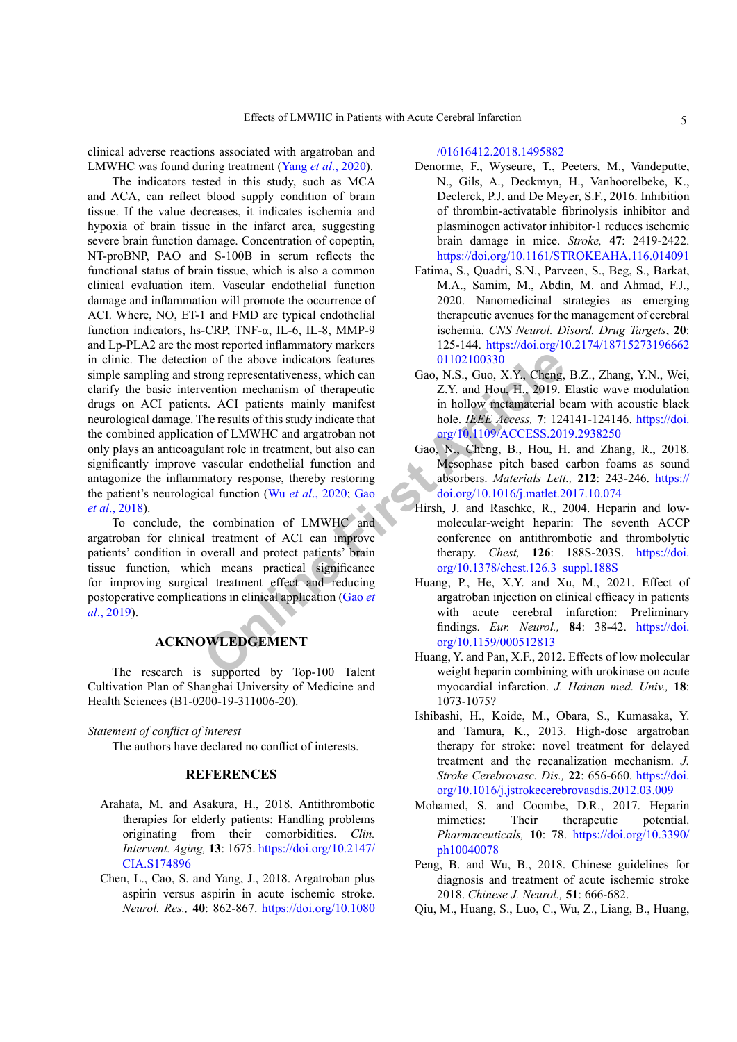clinical adverse reactions associated with argatroban and LMWHC was found during treatment (Yang *et al*[., 2020\)](#page-5-5).

The above indicato[r](#page-4-11)s features<br>
Online of the above indicators features<br>
State and Gao, N.S., Guo, X.Y., Cheng,<br>
State presentativeness, which can<br>
the results of this study indicate that<br>
the results of this study indicate The indicators tested in this study, such as MCA and ACA, can reflect blood supply condition of brain tissue. If the value decreases, it indicates ischemia and hypoxia of brain tissue in the infarct area, suggesting severe brain function damage. Concentration of copeptin, NT-proBNP, PAO and S-100B in serum reflects the functional status of brain tissue, which is also a common clinical evaluation item. Vascular endothelial function damage and inflammation will promote the occurrence of ACI. Where, NO, ET-1 and FMD are typical endothelial function indicators, hs-CRP, TNF-α, IL-6, IL-8, MMP-9 and Lp-PLA2 are the most reported inflammatory markers in clinic. The detection of the above indicators features simple sampling and strong representativeness, which can clarify the basic intervention mechanism of therapeutic drugs on ACI patients. ACI patients mainly manifest neurological damage. The results of this study indicate that the combined application of LMWHC and argatroban not only plays an anticoagulant role in treatment, but also can significantly improve vascular endothelial function and antagonize the inflammatory response, thereby restoring the patient's neurological function (Wu *et al*., 2020; Gao *et al*[., 2018\)](#page-4-11).

To conclude, the combination of LMWHC and argatroban for clinical treatment of ACI can improve patients' condition in overall and protect patients' brain tissue function, which means practical significance for improving surgical treatment effect and reducing postoperative complications in clinical application (Gao *et al*[., 2019](#page-4-12)).

# **ACKNOWLEDGEMENT**

The research is supported by Top-100 Talent Cultivation Plan of Shanghai University of Medicine and Health Sciences (B1-0200-19-311006-20).

## *Statement of conflict of interest*

The authors have declared no conflict of interests.

## <span id="page-4-7"></span><span id="page-4-3"></span><span id="page-4-1"></span>**REFERENCES**

- <span id="page-4-6"></span>Arahata, M. and Asakura, H., 2018. Antithrombotic therapies for elderly patients: Handling problems originating from their comorbidities. *Clin. Intervent. Aging,* **13**: 1675. [https://doi.org/10.2147/](https://doi.org/10.2147/CIA.S174896) [CIA.S174896](https://doi.org/10.2147/CIA.S174896)
- <span id="page-4-2"></span>Chen, L., Cao, S. and Yang, J., 2018. Argatroban plus aspirin versus aspirin in acute ischemic stroke. *Neurol. Res.,* **40**: 862-867. [https://doi.org/10.1080](https://doi.org/10.1080/01616412.2018.1495882)

## [/01616412.2018.1495882](https://doi.org/10.1080/01616412.2018.1495882)

- <span id="page-4-9"></span>Denorme, F., Wyseure, T., Peeters, M., Vandeputte, N., Gils, A., Deckmyn, H., Vanhoorelbeke, K., Declerck, P.J. and De Meyer, S.F., 2016. Inhibition of thrombin-activatable fibrinolysis inhibitor and plasminogen activator inhibitor-1 reduces ischemic brain damage in mice. *Stroke,* **47**: 2419-2422. <https://doi.org/10.1161/STROKEAHA.116.014091>
- <span id="page-4-5"></span>Fatima, S., Quadri, S.N., Parveen, S., Beg, S., Barkat, M.A., Samim, M., Abdin, M. and Ahmad, F.J., 2020. Nanomedicinal strategies as emerging therapeutic avenues for the management of cerebral ischemia. *CNS Neurol. Disord. Drug Targets*, **20**: 125-144. [https://doi.org/10.2174/18715273196662](https://doi.org/10.2174/1871527319666201102100330) 01102100330
- <span id="page-4-12"></span>Gao, N.S., Guo, X.Y., Cheng, B.Z., Zhang, Y.N., Wei, Z.Y. and Hou, H., 2019. Elastic wave modulation in hollow metamaterial beam with acoustic black hole. *IEEE Access,* **7**: 124141-124146. [https://doi.](https://doi.org/10.1109/ACCESS.2019.2938250) [org/10.1109/ACCESS.2019.2938250](https://doi.org/10.1109/ACCESS.2019.2938250)
- <span id="page-4-11"></span>Gao, N., Cheng, B., Hou, H. and Zhang, R., 2018. Mesophase pitch based carbon foams as sound absorbers. *Materials Lett.,* **212**: 243-246. [https://](https://doi.org/10.1016/j.matlet.2017.10.074) [doi.org/10.1016/j.matlet.2017.10.074](https://doi.org/10.1016/j.matlet.2017.10.074)
- <span id="page-4-10"></span><span id="page-4-8"></span><span id="page-4-4"></span><span id="page-4-0"></span>Hirsh, J. and Raschke, R., 2004. Heparin and lowmolecular-weight heparin: The seventh ACCP conference on antithrombotic and thrombolytic therapy. *Chest,* **126**: 188S-203S. [https://doi.](https://doi.org/10.1378/chest.126.3_suppl.188S) [org/10.1378/chest.126.3\\_suppl.188S](https://doi.org/10.1378/chest.126.3_suppl.188S)
	- Huang, P., He, X.Y. and Xu, M., 2021. Effect of argatroban injection on clinical efficacy in patients with acute cerebral infarction: Preliminary findings. *Eur. Neurol.,* **84**: 38-42. [https://doi.](https://doi.org/10.1159/000512813) org/10.1159/000512813
	- Huang, Y. and Pan, X.F., 2012. Effects of low molecular weight heparin combining with urokinase on acute myocardial infarction. *J. Hainan med. Univ.,* **18**: 1073-1075?
	- Ishibashi, H., Koide, M., Obara, S., Kumasaka, Y. and Tamura, K., 2013. High-dose argatroban therapy for stroke: novel treatment for delayed treatment and the recanalization mechanism. *J. Stroke Cerebrovasc. Dis.,* **22**: 656-660. [https://doi.](https://doi.org/10.1016/j.jstrokecerebrovasdis.2012.03.009) [org/10.1016/j.jstrokecerebrovasdis.2012.03.009](https://doi.org/10.1016/j.jstrokecerebrovasdis.2012.03.009)
	- Mohamed, S. and Coombe, D.R., 2017. Heparin mimetics: Their therapeutic potential. *Pharmaceuticals,* **10**: 78. [https://doi.org/10.3390/](https://doi.org/10.3390/ph10040078) [ph10040078](https://doi.org/10.3390/ph10040078)
	- Peng, B. and Wu, B., 2018. Chinese guidelines for diagnosis and treatment of acute ischemic stroke 2018. *Chinese J. Neurol.,* **51**: 666-682.
	- Qiu, M., Huang, S., Luo, C., Wu, Z., Liang, B., Huang,